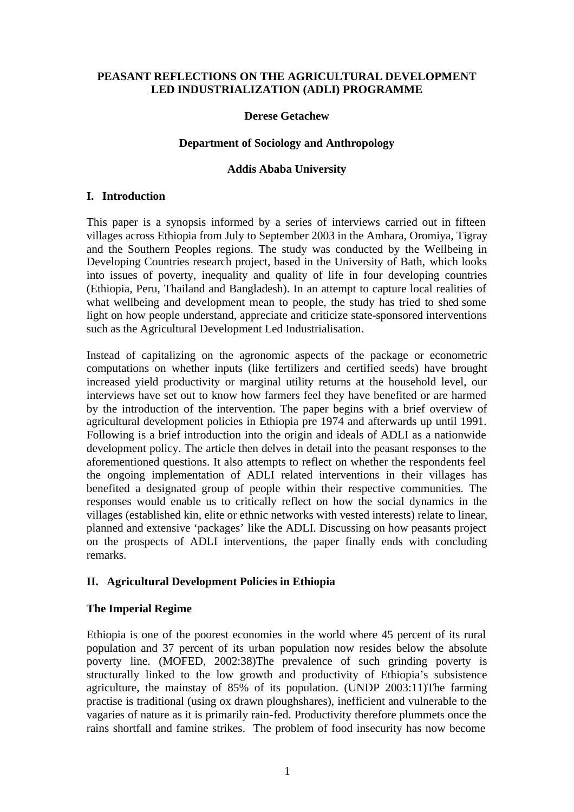### **PEASANT REFLECTIONS ON THE AGRICULTURAL DEVELOPMENT LED INDUSTRIALIZATION (ADLI) PROGRAMME**

#### **Derese Getachew**

#### **Department of Sociology and Anthropology**

#### **Addis Ababa University**

#### **I. Introduction**

This paper is a synopsis informed by a series of interviews carried out in fifteen villages across Ethiopia from July to September 2003 in the Amhara, Oromiya, Tigray and the Southern Peoples regions. The study was conducted by the Wellbeing in Developing Countries research project, based in the University of Bath, which looks into issues of poverty, inequality and quality of life in four developing countries (Ethiopia, Peru, Thailand and Bangladesh). In an attempt to capture local realities of what wellbeing and development mean to people, the study has tried to shed some light on how people understand, appreciate and criticize state-sponsored interventions such as the Agricultural Development Led Industrialisation.

Instead of capitalizing on the agronomic aspects of the package or econometric computations on whether inputs (like fertilizers and certified seeds) have brought increased yield productivity or marginal utility returns at the household level, our interviews have set out to know how farmers feel they have benefited or are harmed by the introduction of the intervention. The paper begins with a brief overview of agricultural development policies in Ethiopia pre 1974 and afterwards up until 1991. Following is a brief introduction into the origin and ideals of ADLI as a nationwide development policy. The article then delves in detail into the peasant responses to the aforementioned questions. It also attempts to reflect on whether the respondents feel the ongoing implementation of ADLI related interventions in their villages has benefited a designated group of people within their respective communities. The responses would enable us to critically reflect on how the social dynamics in the villages (established kin, elite or ethnic networks with vested interests) relate to linear, planned and extensive 'packages' like the ADLI. Discussing on how peasants project on the prospects of ADLI interventions, the paper finally ends with concluding remarks.

### **II. Agricultural Development Policies in Ethiopia**

### **The Imperial Regime**

Ethiopia is one of the poorest economies in the world where 45 percent of its rural population and 37 percent of its urban population now resides below the absolute poverty line. (MOFED, 2002:38)The prevalence of such grinding poverty is structurally linked to the low growth and productivity of Ethiopia's subsistence agriculture, the mainstay of 85% of its population. (UNDP 2003:11)The farming practise is traditional (using ox drawn ploughshares), inefficient and vulnerable to the vagaries of nature as it is primarily rain-fed. Productivity therefore plummets once the rains shortfall and famine strikes. The problem of food insecurity has now become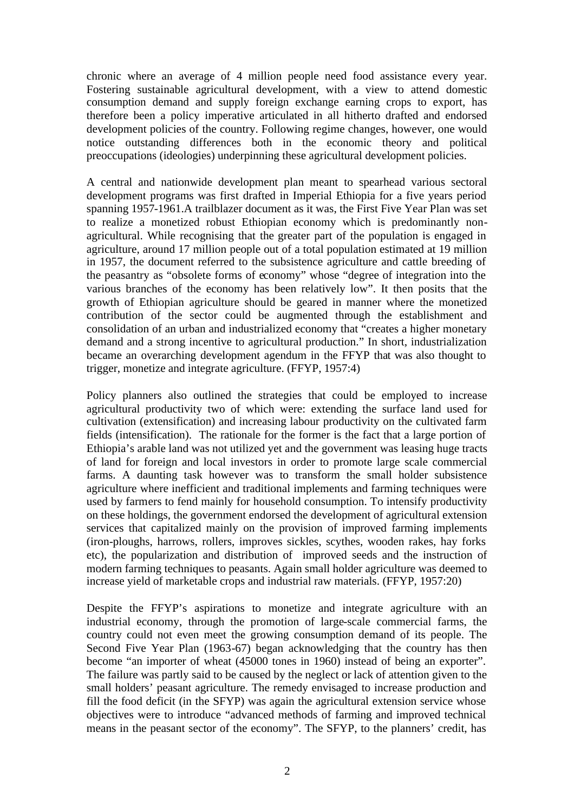chronic where an average of 4 million people need food assistance every year. Fostering sustainable agricultural development, with a view to attend domestic consumption demand and supply foreign exchange earning crops to export, has therefore been a policy imperative articulated in all hitherto drafted and endorsed development policies of the country. Following regime changes, however, one would notice outstanding differences both in the economic theory and political preoccupations (ideologies) underpinning these agricultural development policies.

A central and nationwide development plan meant to spearhead various sectoral development programs was first drafted in Imperial Ethiopia for a five years period spanning 1957-1961.A trailblazer document as it was, the First Five Year Plan was set to realize a monetized robust Ethiopian economy which is predominantly nonagricultural. While recognising that the greater part of the population is engaged in agriculture, around 17 million people out of a total population estimated at 19 million in 1957, the document referred to the subsistence agriculture and cattle breeding of the peasantry as "obsolete forms of economy" whose "degree of integration into the various branches of the economy has been relatively low". It then posits that the growth of Ethiopian agriculture should be geared in manner where the monetized contribution of the sector could be augmented through the establishment and consolidation of an urban and industrialized economy that "creates a higher monetary demand and a strong incentive to agricultural production." In short, industrialization became an overarching development agendum in the FFYP that was also thought to trigger, monetize and integrate agriculture. (FFYP, 1957:4)

Policy planners also outlined the strategies that could be employed to increase agricultural productivity two of which were: extending the surface land used for cultivation (extensification) and increasing labour productivity on the cultivated farm fields (intensification). The rationale for the former is the fact that a large portion of Ethiopia's arable land was not utilized yet and the government was leasing huge tracts of land for foreign and local investors in order to promote large scale commercial farms. A daunting task however was to transform the small holder subsistence agriculture where inefficient and traditional implements and farming techniques were used by farmers to fend mainly for household consumption. To intensify productivity on these holdings, the government endorsed the development of agricultural extension services that capitalized mainly on the provision of improved farming implements (iron-ploughs, harrows, rollers, improves sickles, scythes, wooden rakes, hay forks etc), the popularization and distribution of improved seeds and the instruction of modern farming techniques to peasants. Again small holder agriculture was deemed to increase yield of marketable crops and industrial raw materials. (FFYP, 1957:20)

Despite the FFYP's aspirations to monetize and integrate agriculture with an industrial economy, through the promotion of large-scale commercial farms, the country could not even meet the growing consumption demand of its people. The Second Five Year Plan (1963-67) began acknowledging that the country has then become "an importer of wheat (45000 tones in 1960) instead of being an exporter". The failure was partly said to be caused by the neglect or lack of attention given to the small holders' peasant agriculture. The remedy envisaged to increase production and fill the food deficit (in the SFYP) was again the agricultural extension service whose objectives were to introduce "advanced methods of farming and improved technical means in the peasant sector of the economy". The SFYP, to the planners' credit, has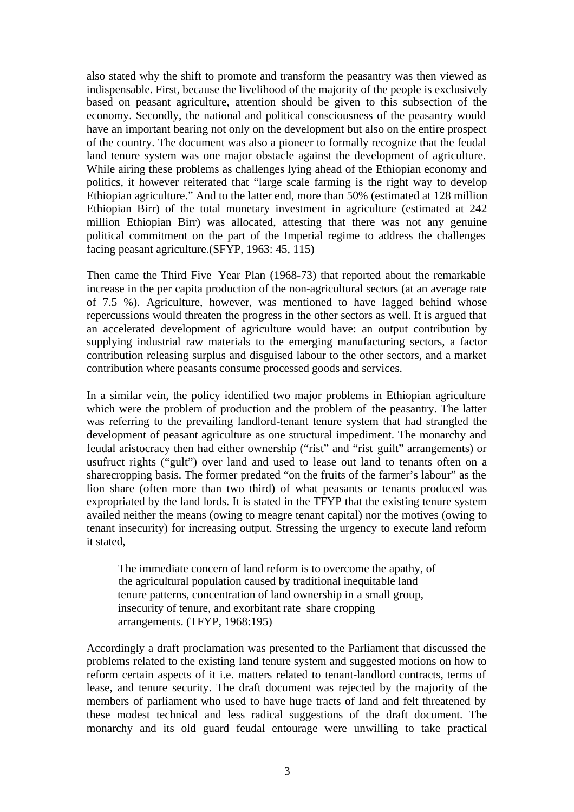also stated why the shift to promote and transform the peasantry was then viewed as indispensable. First, because the livelihood of the majority of the people is exclusively based on peasant agriculture, attention should be given to this subsection of the economy. Secondly, the national and political consciousness of the peasantry would have an important bearing not only on the development but also on the entire prospect of the country. The document was also a pioneer to formally recognize that the feudal land tenure system was one major obstacle against the development of agriculture. While airing these problems as challenges lying ahead of the Ethiopian economy and politics, it however reiterated that "large scale farming is the right way to develop Ethiopian agriculture." And to the latter end, more than 50% (estimated at 128 million Ethiopian Birr) of the total monetary investment in agriculture (estimated at 242 million Ethiopian Birr) was allocated, attesting that there was not any genuine political commitment on the part of the Imperial regime to address the challenges facing peasant agriculture.(SFYP, 1963: 45, 115)

Then came the Third Five Year Plan (1968-73) that reported about the remarkable increase in the per capita production of the non-agricultural sectors (at an average rate of 7.5 %). Agriculture, however, was mentioned to have lagged behind whose repercussions would threaten the progress in the other sectors as well. It is argued that an accelerated development of agriculture would have: an output contribution by supplying industrial raw materials to the emerging manufacturing sectors, a factor contribution releasing surplus and disguised labour to the other sectors, and a market contribution where peasants consume processed goods and services.

In a similar vein, the policy identified two major problems in Ethiopian agriculture which were the problem of production and the problem of the peasantry. The latter was referring to the prevailing landlord-tenant tenure system that had strangled the development of peasant agriculture as one structural impediment. The monarchy and feudal aristocracy then had either ownership ("rist" and "rist guilt" arrangements) or usufruct rights ("gult") over land and used to lease out land to tenants often on a sharecropping basis. The former predated "on the fruits of the farmer's labour" as the lion share (often more than two third) of what peasants or tenants produced was expropriated by the land lords. It is stated in the TFYP that the existing tenure system availed neither the means (owing to meagre tenant capital) nor the motives (owing to tenant insecurity) for increasing output. Stressing the urgency to execute land reform it stated,

 The immediate concern of land reform is to overcome the apathy, of the agricultural population caused by traditional inequitable land tenure patterns, concentration of land ownership in a small group, insecurity of tenure, and exorbitant rate share cropping arrangements. (TFYP, 1968:195)

Accordingly a draft proclamation was presented to the Parliament that discussed the problems related to the existing land tenure system and suggested motions on how to reform certain aspects of it i.e. matters related to tenant-landlord contracts, terms of lease, and tenure security. The draft document was rejected by the majority of the members of parliament who used to have huge tracts of land and felt threatened by these modest technical and less radical suggestions of the draft document. The monarchy and its old guard feudal entourage were unwilling to take practical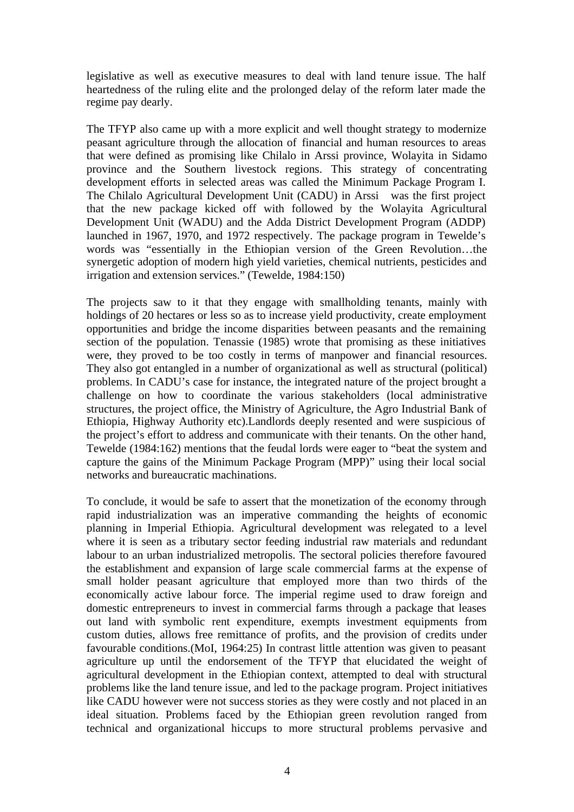legislative as well as executive measures to deal with land tenure issue. The half heartedness of the ruling elite and the prolonged delay of the reform later made the regime pay dearly.

The TFYP also came up with a more explicit and well thought strategy to modernize peasant agriculture through the allocation of financial and human resources to areas that were defined as promising like Chilalo in Arssi province, Wolayita in Sidamo province and the Southern livestock regions. This strategy of concentrating development efforts in selected areas was called the Minimum Package Program I. The Chilalo Agricultural Development Unit (CADU) in Arssi was the first project that the new package kicked off with followed by the Wolayita Agricultural Development Unit (WADU) and the Adda District Development Program (ADDP) launched in 1967, 1970, and 1972 respectively. The package program in Tewelde's words was "essentially in the Ethiopian version of the Green Revolution…the synergetic adoption of modern high yield varieties, chemical nutrients, pesticides and irrigation and extension services." (Tewelde, 1984:150)

The projects saw to it that they engage with smallholding tenants, mainly with holdings of 20 hectares or less so as to increase yield productivity, create employment opportunities and bridge the income disparities between peasants and the remaining section of the population. Tenassie (1985) wrote that promising as these initiatives were, they proved to be too costly in terms of manpower and financial resources. They also got entangled in a number of organizational as well as structural (political) problems. In CADU's case for instance, the integrated nature of the project brought a challenge on how to coordinate the various stakeholders (local administrative structures, the project office, the Ministry of Agriculture, the Agro Industrial Bank of Ethiopia, Highway Authority etc).Landlords deeply resented and were suspicious of the project's effort to address and communicate with their tenants. On the other hand, Tewelde (1984:162) mentions that the feudal lords were eager to "beat the system and capture the gains of the Minimum Package Program (MPP)" using their local social networks and bureaucratic machinations.

To conclude, it would be safe to assert that the monetization of the economy through rapid industrialization was an imperative commanding the heights of economic planning in Imperial Ethiopia. Agricultural development was relegated to a level where it is seen as a tributary sector feeding industrial raw materials and redundant labour to an urban industrialized metropolis. The sectoral policies therefore favoured the establishment and expansion of large scale commercial farms at the expense of small holder peasant agriculture that employed more than two thirds of the economically active labour force. The imperial regime used to draw foreign and domestic entrepreneurs to invest in commercial farms through a package that leases out land with symbolic rent expenditure, exempts investment equipments from custom duties, allows free remittance of profits, and the provision of credits under favourable conditions.(MoI, 1964:25) In contrast little attention was given to peasant agriculture up until the endorsement of the TFYP that elucidated the weight of agricultural development in the Ethiopian context, attempted to deal with structural problems like the land tenure issue, and led to the package program. Project initiatives like CADU however were not success stories as they were costly and not placed in an ideal situation. Problems faced by the Ethiopian green revolution ranged from technical and organizational hiccups to more structural problems pervasive and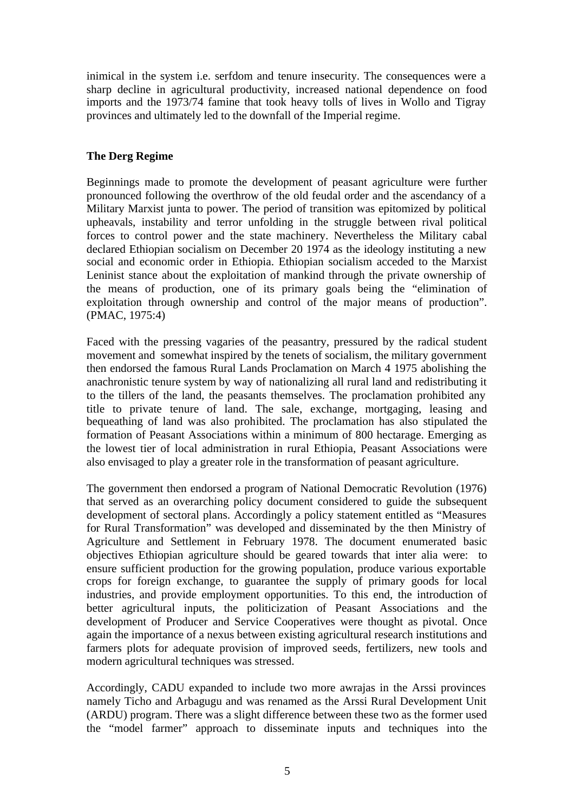inimical in the system i.e. serfdom and tenure insecurity. The consequences were a sharp decline in agricultural productivity, increased national dependence on food imports and the 1973/74 famine that took heavy tolls of lives in Wollo and Tigray provinces and ultimately led to the downfall of the Imperial regime.

### **The Derg Regime**

Beginnings made to promote the development of peasant agriculture were further pronounced following the overthrow of the old feudal order and the ascendancy of a Military Marxist junta to power. The period of transition was epitomized by political upheavals, instability and terror unfolding in the struggle between rival political forces to control power and the state machinery. Nevertheless the Military cabal declared Ethiopian socialism on December 20 1974 as the ideology instituting a new social and economic order in Ethiopia. Ethiopian socialism acceded to the Marxist Leninist stance about the exploitation of mankind through the private ownership of the means of production, one of its primary goals being the "elimination of exploitation through ownership and control of the major means of production". (PMAC, 1975:4)

Faced with the pressing vagaries of the peasantry, pressured by the radical student movement and somewhat inspired by the tenets of socialism, the military government then endorsed the famous Rural Lands Proclamation on March 4 1975 abolishing the anachronistic tenure system by way of nationalizing all rural land and redistributing it to the tillers of the land, the peasants themselves. The proclamation prohibited any title to private tenure of land. The sale, exchange, mortgaging, leasing and bequeathing of land was also prohibited. The proclamation has also stipulated the formation of Peasant Associations within a minimum of 800 hectarage. Emerging as the lowest tier of local administration in rural Ethiopia, Peasant Associations were also envisaged to play a greater role in the transformation of peasant agriculture.

The government then endorsed a program of National Democratic Revolution (1976) that served as an overarching policy document considered to guide the subsequent development of sectoral plans. Accordingly a policy statement entitled as "Measures for Rural Transformation" was developed and disseminated by the then Ministry of Agriculture and Settlement in February 1978. The document enumerated basic objectives Ethiopian agriculture should be geared towards that inter alia were: to ensure sufficient production for the growing population, produce various exportable crops for foreign exchange, to guarantee the supply of primary goods for local industries, and provide employment opportunities. To this end, the introduction of better agricultural inputs, the politicization of Peasant Associations and the development of Producer and Service Cooperatives were thought as pivotal. Once again the importance of a nexus between existing agricultural research institutions and farmers plots for adequate provision of improved seeds, fertilizers, new tools and modern agricultural techniques was stressed.

Accordingly, CADU expanded to include two more awrajas in the Arssi provinces namely Ticho and Arbagugu and was renamed as the Arssi Rural Development Unit (ARDU) program. There was a slight difference between these two as the former used the "model farmer" approach to disseminate inputs and techniques into the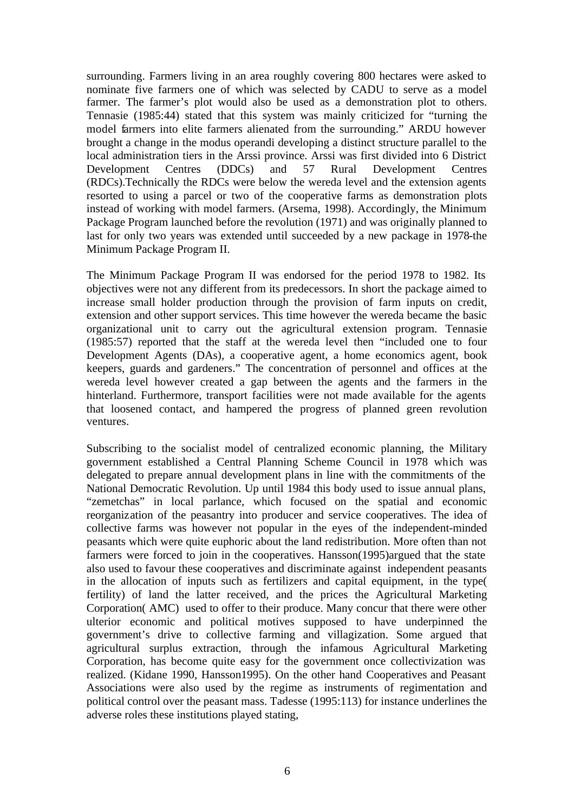surrounding. Farmers living in an area roughly covering 800 hectares were asked to nominate five farmers one of which was selected by CADU to serve as a model farmer. The farmer's plot would also be used as a demonstration plot to others. Tennasie (1985:44) stated that this system was mainly criticized for "turning the model farmers into elite farmers alienated from the surrounding." ARDU however brought a change in the modus operandi developing a distinct structure parallel to the local administration tiers in the Arssi province. Arssi was first divided into 6 District Development Centres (DDCs) and 57 Rural Development Centres (RDCs).Technically the RDCs were below the wereda level and the extension agents resorted to using a parcel or two of the cooperative farms as demonstration plots instead of working with model farmers. (Arsema, 1998). Accordingly, the Minimum Package Program launched before the revolution (1971) and was originally planned to last for only two years was extended until succeeded by a new package in 1978-the Minimum Package Program II.

The Minimum Package Program II was endorsed for the period 1978 to 1982. Its objectives were not any different from its predecessors. In short the package aimed to increase small holder production through the provision of farm inputs on credit, extension and other support services. This time however the wereda became the basic organizational unit to carry out the agricultural extension program. Tennasie (1985:57) reported that the staff at the wereda level then "included one to four Development Agents (DAs), a cooperative agent, a home economics agent, book keepers, guards and gardeners." The concentration of personnel and offices at the wereda level however created a gap between the agents and the farmers in the hinterland. Furthermore, transport facilities were not made available for the agents that loosened contact, and hampered the progress of planned green revolution ventures.

Subscribing to the socialist model of centralized economic planning, the Military government established a Central Planning Scheme Council in 1978 which was delegated to prepare annual development plans in line with the commitments of the National Democratic Revolution. Up until 1984 this body used to issue annual plans, "zemetchas" in local parlance, which focused on the spatial and economic reorganization of the peasantry into producer and service cooperatives. The idea of collective farms was however not popular in the eyes of the independent-minded peasants which were quite euphoric about the land redistribution. More often than not farmers were forced to join in the cooperatives. Hansson(1995)argued that the state also used to favour these cooperatives and discriminate against independent peasants in the allocation of inputs such as fertilizers and capital equipment, in the type( fertility) of land the latter received, and the prices the Agricultural Marketing Corporation( AMC) used to offer to their produce. Many concur that there were other ulterior economic and political motives supposed to have underpinned the government's drive to collective farming and villagization. Some argued that agricultural surplus extraction, through the infamous Agricultural Marketing Corporation, has become quite easy for the government once collectivization was realized. (Kidane 1990, Hansson1995). On the other hand Cooperatives and Peasant Associations were also used by the regime as instruments of regimentation and political control over the peasant mass. Tadesse (1995:113) for instance underlines the adverse roles these institutions played stating,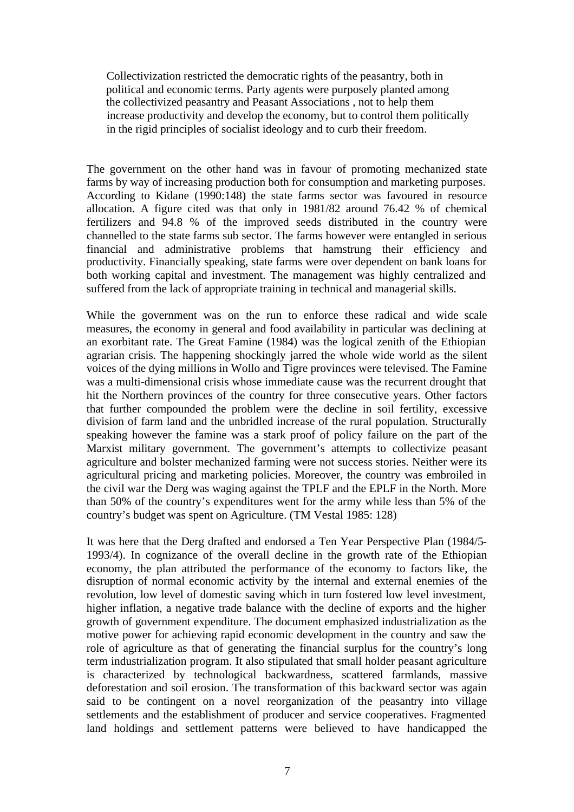Collectivization restricted the democratic rights of the peasantry, both in political and economic terms. Party agents were purposely planted among the collectivized peasantry and Peasant Associations , not to help them increase productivity and develop the economy, but to control them politically in the rigid principles of socialist ideology and to curb their freedom.

The government on the other hand was in favour of promoting mechanized state farms by way of increasing production both for consumption and marketing purposes. According to Kidane (1990:148) the state farms sector was favoured in resource allocation. A figure cited was that only in 1981/82 around 76.42 % of chemical fertilizers and 94.8 % of the improved seeds distributed in the country were channelled to the state farms sub sector. The farms however were entangled in serious financial and administrative problems that hamstrung their efficiency and productivity. Financially speaking, state farms were over dependent on bank loans for both working capital and investment. The management was highly centralized and suffered from the lack of appropriate training in technical and managerial skills.

While the government was on the run to enforce these radical and wide scale measures, the economy in general and food availability in particular was declining at an exorbitant rate. The Great Famine (1984) was the logical zenith of the Ethiopian agrarian crisis. The happening shockingly jarred the whole wide world as the silent voices of the dying millions in Wollo and Tigre provinces were televised. The Famine was a multi-dimensional crisis whose immediate cause was the recurrent drought that hit the Northern provinces of the country for three consecutive years. Other factors that further compounded the problem were the decline in soil fertility, excessive division of farm land and the unbridled increase of the rural population. Structurally speaking however the famine was a stark proof of policy failure on the part of the Marxist military government. The government's attempts to collectivize peasant agriculture and bolster mechanized farming were not success stories. Neither were its agricultural pricing and marketing policies. Moreover, the country was embroiled in the civil war the Derg was waging against the TPLF and the EPLF in the North. More than 50% of the country's expenditures went for the army while less than 5% of the country's budget was spent on Agriculture. (TM Vestal 1985: 128)

It was here that the Derg drafted and endorsed a Ten Year Perspective Plan (1984/5- 1993/4). In cognizance of the overall decline in the growth rate of the Ethiopian economy, the plan attributed the performance of the economy to factors like, the disruption of normal economic activity by the internal and external enemies of the revolution, low level of domestic saving which in turn fostered low level investment, higher inflation, a negative trade balance with the decline of exports and the higher growth of government expenditure. The document emphasized industrialization as the motive power for achieving rapid economic development in the country and saw the role of agriculture as that of generating the financial surplus for the country's long term industrialization program. It also stipulated that small holder peasant agriculture is characterized by technological backwardness, scattered farmlands, massive deforestation and soil erosion. The transformation of this backward sector was again said to be contingent on a novel reorganization of the peasantry into village settlements and the establishment of producer and service cooperatives. Fragmented land holdings and settlement patterns were believed to have handicapped the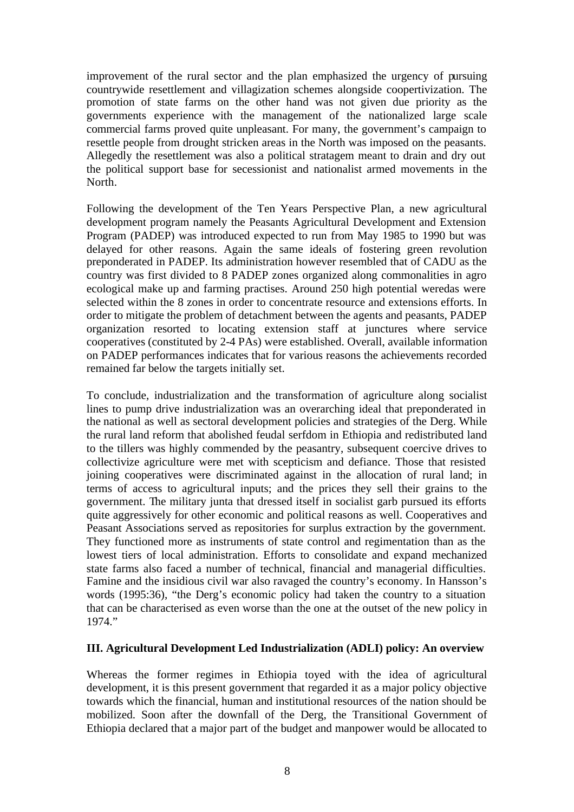improvement of the rural sector and the plan emphasized the urgency of pursuing countrywide resettlement and villagization schemes alongside coopertivization. The promotion of state farms on the other hand was not given due priority as the governments experience with the management of the nationalized large scale commercial farms proved quite unpleasant. For many, the government's campaign to resettle people from drought stricken areas in the North was imposed on the peasants. Allegedly the resettlement was also a political stratagem meant to drain and dry out the political support base for secessionist and nationalist armed movements in the North.

Following the development of the Ten Years Perspective Plan, a new agricultural development program namely the Peasants Agricultural Development and Extension Program (PADEP) was introduced expected to run from May 1985 to 1990 but was delayed for other reasons. Again the same ideals of fostering green revolution preponderated in PADEP. Its administration however resembled that of CADU as the country was first divided to 8 PADEP zones organized along commonalities in agro ecological make up and farming practises. Around 250 high potential weredas were selected within the 8 zones in order to concentrate resource and extensions efforts. In order to mitigate the problem of detachment between the agents and peasants, PADEP organization resorted to locating extension staff at junctures where service cooperatives (constituted by 2-4 PAs) were established. Overall, available information on PADEP performances indicates that for various reasons the achievements recorded remained far below the targets initially set.

To conclude, industrialization and the transformation of agriculture along socialist lines to pump drive industrialization was an overarching ideal that preponderated in the national as well as sectoral development policies and strategies of the Derg. While the rural land reform that abolished feudal serfdom in Ethiopia and redistributed land to the tillers was highly commended by the peasantry, subsequent coercive drives to collectivize agriculture were met with scepticism and defiance. Those that resisted joining cooperatives were discriminated against in the allocation of rural land; in terms of access to agricultural inputs; and the prices they sell their grains to the government. The military junta that dressed itself in socialist garb pursued its efforts quite aggressively for other economic and political reasons as well. Cooperatives and Peasant Associations served as repositories for surplus extraction by the government. They functioned more as instruments of state control and regimentation than as the lowest tiers of local administration. Efforts to consolidate and expand mechanized state farms also faced a number of technical, financial and managerial difficulties. Famine and the insidious civil war also ravaged the country's economy. In Hansson's words (1995:36), "the Derg's economic policy had taken the country to a situation that can be characterised as even worse than the one at the outset of the new policy in 1974."

### **III. Agricultural Development Led Industrialization (ADLI) policy: An overview**

Whereas the former regimes in Ethiopia toyed with the idea of agricultural development, it is this present government that regarded it as a major policy objective towards which the financial, human and institutional resources of the nation should be mobilized. Soon after the downfall of the Derg, the Transitional Government of Ethiopia declared that a major part of the budget and manpower would be allocated to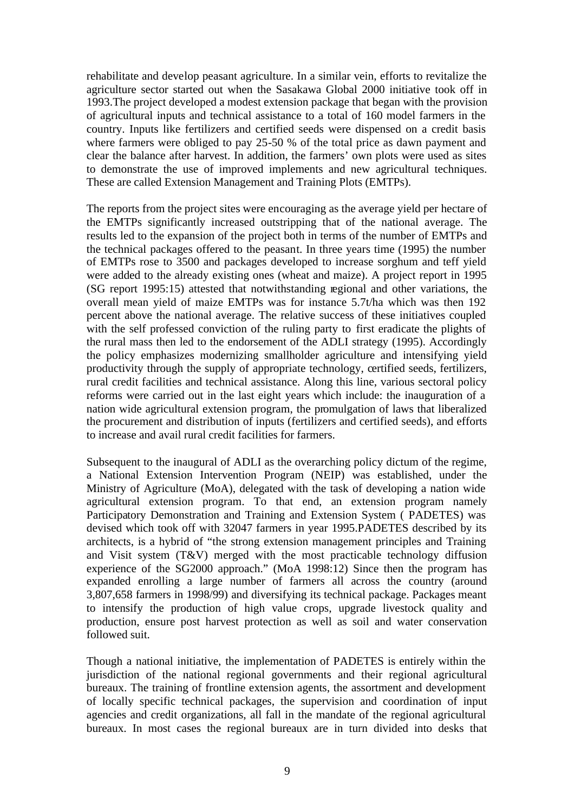rehabilitate and develop peasant agriculture. In a similar vein, efforts to revitalize the agriculture sector started out when the Sasakawa Global 2000 initiative took off in 1993.The project developed a modest extension package that began with the provision of agricultural inputs and technical assistance to a total of 160 model farmers in the country. Inputs like fertilizers and certified seeds were dispensed on a credit basis where farmers were obliged to pay 25-50 % of the total price as dawn payment and clear the balance after harvest. In addition, the farmers' own plots were used as sites to demonstrate the use of improved implements and new agricultural techniques. These are called Extension Management and Training Plots (EMTPs).

The reports from the project sites were encouraging as the average yield per hectare of the EMTPs significantly increased outstripping that of the national average. The results led to the expansion of the project both in terms of the number of EMTPs and the technical packages offered to the peasant. In three years time (1995) the number of EMTPs rose to 3500 and packages developed to increase sorghum and teff yield were added to the already existing ones (wheat and maize). A project report in 1995 (SG report 1995:15) attested that notwithstanding regional and other variations, the overall mean yield of maize EMTPs was for instance 5.7t/ha which was then 192 percent above the national average. The relative success of these initiatives coupled with the self professed conviction of the ruling party to first eradicate the plights of the rural mass then led to the endorsement of the ADLI strategy (1995). Accordingly the policy emphasizes modernizing smallholder agriculture and intensifying yield productivity through the supply of appropriate technology, certified seeds, fertilizers, rural credit facilities and technical assistance. Along this line, various sectoral policy reforms were carried out in the last eight years which include: the inauguration of a nation wide agricultural extension program, the promulgation of laws that liberalized the procurement and distribution of inputs (fertilizers and certified seeds), and efforts to increase and avail rural credit facilities for farmers.

Subsequent to the inaugural of ADLI as the overarching policy dictum of the regime, a National Extension Intervention Program (NEIP) was established, under the Ministry of Agriculture (MoA), delegated with the task of developing a nation wide agricultural extension program. To that end, an extension program namely Participatory Demonstration and Training and Extension System ( PADETES) was devised which took off with 32047 farmers in year 1995.PADETES described by its architects, is a hybrid of "the strong extension management principles and Training and Visit system (T&V) merged with the most practicable technology diffusion experience of the SG2000 approach." (MoA 1998:12) Since then the program has expanded enrolling a large number of farmers all across the country (around 3,807,658 farmers in 1998/99) and diversifying its technical package. Packages meant to intensify the production of high value crops, upgrade livestock quality and production, ensure post harvest protection as well as soil and water conservation followed suit.

Though a national initiative, the implementation of PADETES is entirely within the jurisdiction of the national regional governments and their regional agricultural bureaux. The training of frontline extension agents, the assortment and development of locally specific technical packages, the supervision and coordination of input agencies and credit organizations, all fall in the mandate of the regional agricultural bureaux. In most cases the regional bureaux are in turn divided into desks that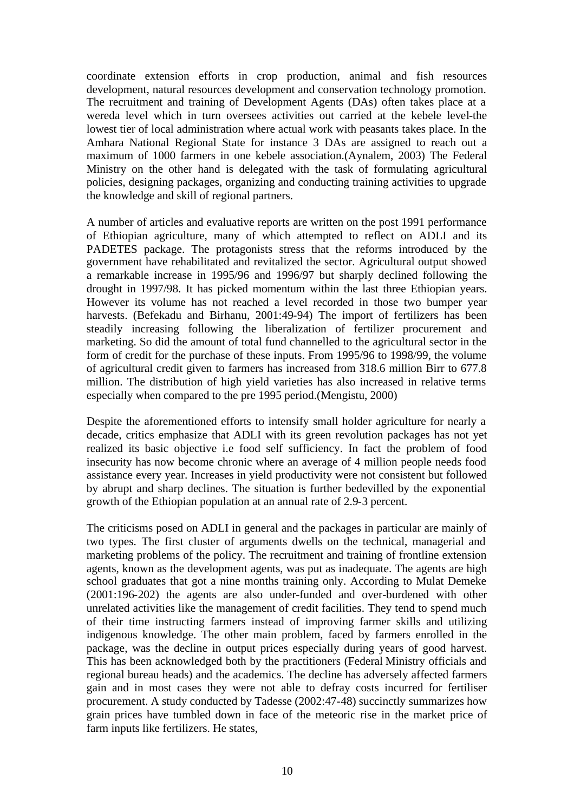coordinate extension efforts in crop production, animal and fish resources development, natural resources development and conservation technology promotion. The recruitment and training of Development Agents (DAs) often takes place at a wereda level which in turn oversees activities out carried at the kebele level-the lowest tier of local administration where actual work with peasants takes place. In the Amhara National Regional State for instance 3 DAs are assigned to reach out a maximum of 1000 farmers in one kebele association.(Aynalem, 2003) The Federal Ministry on the other hand is delegated with the task of formulating agricultural policies, designing packages, organizing and conducting training activities to upgrade the knowledge and skill of regional partners.

A number of articles and evaluative reports are written on the post 1991 performance of Ethiopian agriculture, many of which attempted to reflect on ADLI and its PADETES package. The protagonists stress that the reforms introduced by the government have rehabilitated and revitalized the sector. Agricultural output showed a remarkable increase in 1995/96 and 1996/97 but sharply declined following the drought in 1997/98. It has picked momentum within the last three Ethiopian years. However its volume has not reached a level recorded in those two bumper year harvests. (Befekadu and Birhanu, 2001:49-94) The import of fertilizers has been steadily increasing following the liberalization of fertilizer procurement and marketing. So did the amount of total fund channelled to the agricultural sector in the form of credit for the purchase of these inputs. From 1995/96 to 1998/99, the volume of agricultural credit given to farmers has increased from 318.6 million Birr to 677.8 million. The distribution of high yield varieties has also increased in relative terms especially when compared to the pre 1995 period.(Mengistu, 2000)

Despite the aforementioned efforts to intensify small holder agriculture for nearly a decade, critics emphasize that ADLI with its green revolution packages has not yet realized its basic objective i.e food self sufficiency. In fact the problem of food insecurity has now become chronic where an average of 4 million people needs food assistance every year. Increases in yield productivity were not consistent but followed by abrupt and sharp declines. The situation is further bedevilled by the exponential growth of the Ethiopian population at an annual rate of 2.9-3 percent.

The criticisms posed on ADLI in general and the packages in particular are mainly of two types. The first cluster of arguments dwells on the technical, managerial and marketing problems of the policy. The recruitment and training of frontline extension agents, known as the development agents, was put as inadequate. The agents are high school graduates that got a nine months training only. According to Mulat Demeke (2001:196-202) the agents are also under-funded and over-burdened with other unrelated activities like the management of credit facilities. They tend to spend much of their time instructing farmers instead of improving farmer skills and utilizing indigenous knowledge. The other main problem, faced by farmers enrolled in the package, was the decline in output prices especially during years of good harvest. This has been acknowledged both by the practitioners (Federal Ministry officials and regional bureau heads) and the academics. The decline has adversely affected farmers gain and in most cases they were not able to defray costs incurred for fertiliser procurement. A study conducted by Tadesse (2002:47-48) succinctly summarizes how grain prices have tumbled down in face of the meteoric rise in the market price of farm inputs like fertilizers. He states,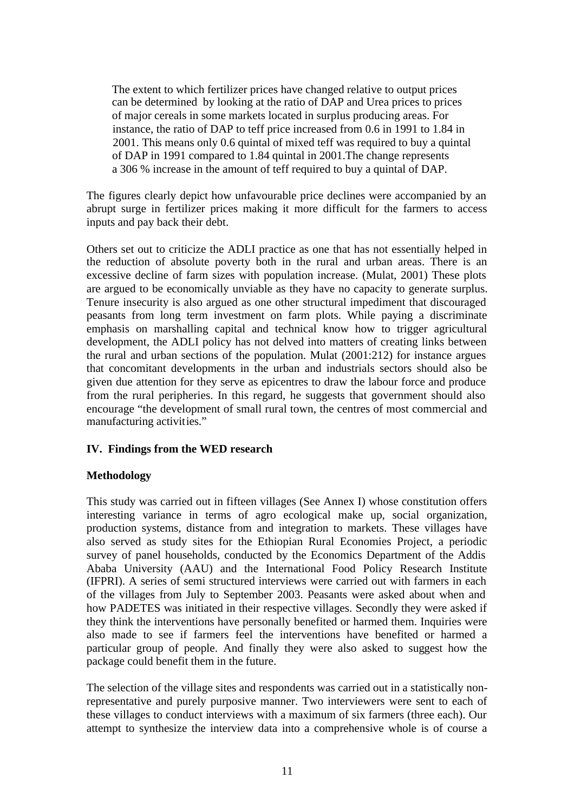The extent to which fertilizer prices have changed relative to output prices can be determined by looking at the ratio of DAP and Urea prices to prices of major cereals in some markets located in surplus producing areas. For instance, the ratio of DAP to teff price increased from 0.6 in 1991 to 1.84 in 2001. This means only 0.6 quintal of mixed teff was required to buy a quintal of DAP in 1991 compared to 1.84 quintal in 2001.The change represents a 306 % increase in the amount of teff required to buy a quintal of DAP.

The figures clearly depict how unfavourable price declines were accompanied by an abrupt surge in fertilizer prices making it more difficult for the farmers to access inputs and pay back their debt.

Others set out to criticize the ADLI practice as one that has not essentially helped in the reduction of absolute poverty both in the rural and urban areas. There is an excessive decline of farm sizes with population increase. (Mulat, 2001) These plots are argued to be economically unviable as they have no capacity to generate surplus. Tenure insecurity is also argued as one other structural impediment that discouraged peasants from long term investment on farm plots. While paying a discriminate emphasis on marshalling capital and technical know how to trigger agricultural development, the ADLI policy has not delved into matters of creating links between the rural and urban sections of the population. Mulat (2001:212) for instance argues that concomitant developments in the urban and industrials sectors should also be given due attention for they serve as epicentres to draw the labour force and produce from the rural peripheries. In this regard, he suggests that government should also encourage "the development of small rural town, the centres of most commercial and manufacturing activities."

# **IV. Findings from the WED research**

### **Methodology**

This study was carried out in fifteen villages (See Annex I) whose constitution offers interesting variance in terms of agro ecological make up, social organization, production systems, distance from and integration to markets. These villages have also served as study sites for the Ethiopian Rural Economies Project, a periodic survey of panel households, conducted by the Economics Department of the Addis Ababa University (AAU) and the International Food Policy Research Institute (IFPRI). A series of semi structured interviews were carried out with farmers in each of the villages from July to September 2003. Peasants were asked about when and how PADETES was initiated in their respective villages. Secondly they were asked if they think the interventions have personally benefited or harmed them. Inquiries were also made to see if farmers feel the interventions have benefited or harmed a particular group of people. And finally they were also asked to suggest how the package could benefit them in the future.

The selection of the village sites and respondents was carried out in a statistically nonrepresentative and purely purposive manner. Two interviewers were sent to each of these villages to conduct interviews with a maximum of six farmers (three each). Our attempt to synthesize the interview data into a comprehensive whole is of course a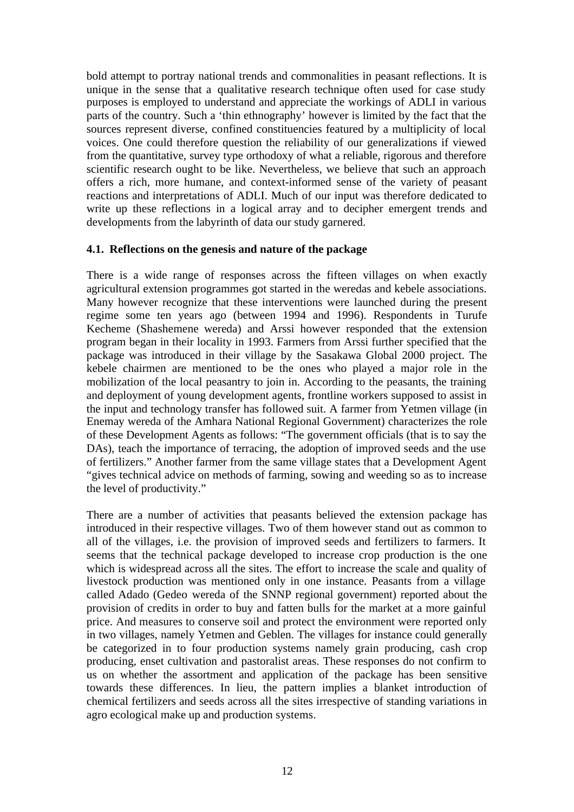bold attempt to portray national trends and commonalities in peasant reflections. It is unique in the sense that a qualitative research technique often used for case study purposes is employed to understand and appreciate the workings of ADLI in various parts of the country. Such a 'thin ethnography' however is limited by the fact that the sources represent diverse, confined constituencies featured by a multiplicity of local voices. One could therefore question the reliability of our generalizations if viewed from the quantitative, survey type orthodoxy of what a reliable, rigorous and therefore scientific research ought to be like. Nevertheless, we believe that such an approach offers a rich, more humane, and context-informed sense of the variety of peasant reactions and interpretations of ADLI. Much of our input was therefore dedicated to write up these reflections in a logical array and to decipher emergent trends and developments from the labyrinth of data our study garnered.

### **4.1. Reflections on the genesis and nature of the package**

There is a wide range of responses across the fifteen villages on when exactly agricultural extension programmes got started in the weredas and kebele associations. Many however recognize that these interventions were launched during the present regime some ten years ago (between 1994 and 1996). Respondents in Turufe Kecheme (Shashemene wereda) and Arssi however responded that the extension program began in their locality in 1993. Farmers from Arssi further specified that the package was introduced in their village by the Sasakawa Global 2000 project. The kebele chairmen are mentioned to be the ones who played a major role in the mobilization of the local peasantry to join in. According to the peasants, the training and deployment of young development agents, frontline workers supposed to assist in the input and technology transfer has followed suit. A farmer from Yetmen village (in Enemay wereda of the Amhara National Regional Government) characterizes the role of these Development Agents as follows: "The government officials (that is to say the DAs), teach the importance of terracing, the adoption of improved seeds and the use of fertilizers." Another farmer from the same village states that a Development Agent "gives technical advice on methods of farming, sowing and weeding so as to increase the level of productivity."

There are a number of activities that peasants believed the extension package has introduced in their respective villages. Two of them however stand out as common to all of the villages, i.e. the provision of improved seeds and fertilizers to farmers. It seems that the technical package developed to increase crop production is the one which is widespread across all the sites. The effort to increase the scale and quality of livestock production was mentioned only in one instance. Peasants from a village called Adado (Gedeo wereda of the SNNP regional government) reported about the provision of credits in order to buy and fatten bulls for the market at a more gainful price. And measures to conserve soil and protect the environment were reported only in two villages, namely Yetmen and Geblen. The villages for instance could generally be categorized in to four production systems namely grain producing, cash crop producing, enset cultivation and pastoralist areas. These responses do not confirm to us on whether the assortment and application of the package has been sensitive towards these differences. In lieu, the pattern implies a blanket introduction of chemical fertilizers and seeds across all the sites irrespective of standing variations in agro ecological make up and production systems.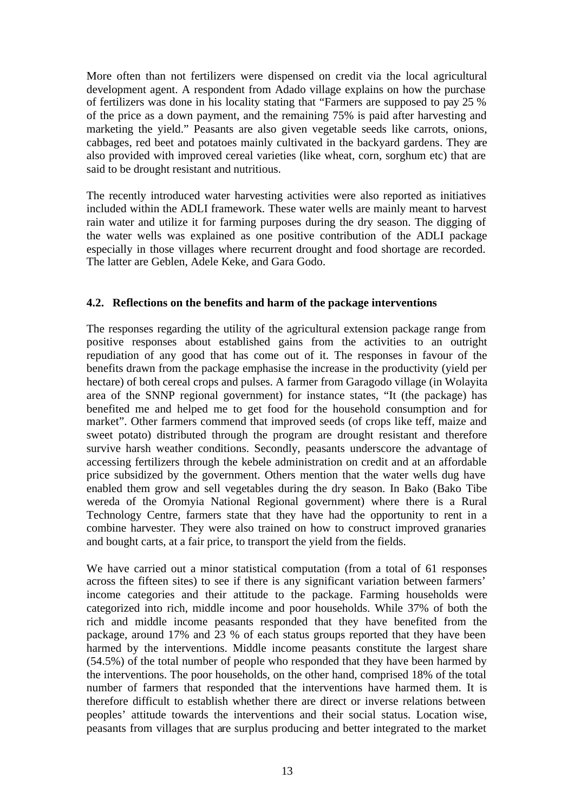More often than not fertilizers were dispensed on credit via the local agricultural development agent. A respondent from Adado village explains on how the purchase of fertilizers was done in his locality stating that "Farmers are supposed to pay 25 % of the price as a down payment, and the remaining 75% is paid after harvesting and marketing the yield." Peasants are also given vegetable seeds like carrots, onions, cabbages, red beet and potatoes mainly cultivated in the backyard gardens. They are also provided with improved cereal varieties (like wheat, corn, sorghum etc) that are said to be drought resistant and nutritious.

The recently introduced water harvesting activities were also reported as initiatives included within the ADLI framework. These water wells are mainly meant to harvest rain water and utilize it for farming purposes during the dry season. The digging of the water wells was explained as one positive contribution of the ADLI package especially in those villages where recurrent drought and food shortage are recorded. The latter are Geblen, Adele Keke, and Gara Godo.

### **4.2. Reflections on the benefits and harm of the package interventions**

The responses regarding the utility of the agricultural extension package range from positive responses about established gains from the activities to an outright repudiation of any good that has come out of it. The responses in favour of the benefits drawn from the package emphasise the increase in the productivity (yield per hectare) of both cereal crops and pulses. A farmer from Garagodo village (in Wolayita area of the SNNP regional government) for instance states, "It (the package) has benefited me and helped me to get food for the household consumption and for market". Other farmers commend that improved seeds (of crops like teff, maize and sweet potato) distributed through the program are drought resistant and therefore survive harsh weather conditions. Secondly, peasants underscore the advantage of accessing fertilizers through the kebele administration on credit and at an affordable price subsidized by the government. Others mention that the water wells dug have enabled them grow and sell vegetables during the dry season. In Bako (Bako Tibe wereda of the Oromyia National Regional government) where there is a Rural Technology Centre, farmers state that they have had the opportunity to rent in a combine harvester. They were also trained on how to construct improved granaries and bought carts, at a fair price, to transport the yield from the fields.

We have carried out a minor statistical computation (from a total of 61 responses across the fifteen sites) to see if there is any significant variation between farmers' income categories and their attitude to the package. Farming households were categorized into rich, middle income and poor households. While 37% of both the rich and middle income peasants responded that they have benefited from the package, around 17% and 23 % of each status groups reported that they have been harmed by the interventions. Middle income peasants constitute the largest share (54.5%) of the total number of people who responded that they have been harmed by the interventions. The poor households, on the other hand, comprised 18% of the total number of farmers that responded that the interventions have harmed them. It is therefore difficult to establish whether there are direct or inverse relations between peoples' attitude towards the interventions and their social status. Location wise, peasants from villages that are surplus producing and better integrated to the market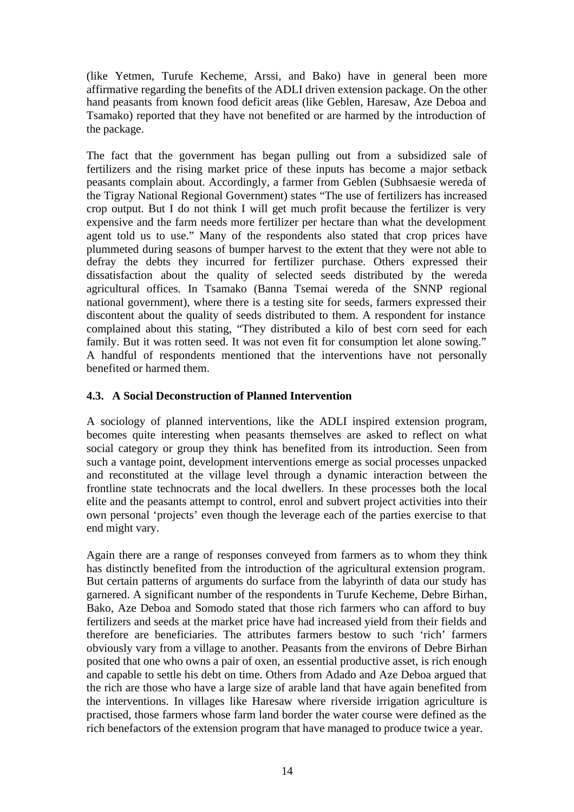(like Yetmen, Turufe Kecheme, Arssi, and Bako) have in general been more affirmative regarding the benefits of the ADLI driven extension package. On the other hand peasants from known food deficit areas (like Geblen, Haresaw, Aze Deboa and Tsamako) reported that they have not benefited or are harmed by the introduction of the package.

The fact that the government has began pulling out from a subsidized sale of fertilizers and the rising market price of these inputs has become a major setback peasants complain about. Accordingly, a farmer from Geblen (Subhsaesie wereda of the Tigray National Regional Government) states "The use of fertilizers has increased crop output. But I do not think I will get much profit because the fertilizer is very expensive and the farm needs more fertilizer per hectare than what the development agent told us to use." Many of the respondents also stated that crop prices have plummeted during seasons of bumper harvest to the extent that they were not able to defray the debts they incurred for fertilizer purchase. Others expressed their dissatisfaction about the quality of selected seeds distributed by the wereda agricultural offices. In Tsamako (Banna Tsemai wereda of the SNNP regional national government), where there is a testing site for seeds, farmers expressed their discontent about the quality of seeds distributed to them. A respondent for instance complained about this stating, "They distributed a kilo of best corn seed for each family. But it was rotten seed. It was not even fit for consumption let alone sowing." A handful of respondents mentioned that the interventions have not personally benefited or harmed them.

# **4.3. A Social Deconstruction of Planned Intervention**

A sociology of planned interventions, like the ADLI inspired extension program, becomes quite interesting when peasants themselves are asked to reflect on what social category or group they think has benefited from its introduction. Seen from such a vantage point, development interventions emerge as social processes unpacked and reconstituted at the village level through a dynamic interaction between the frontline state technocrats and the local dwellers. In these processes both the local elite and the peasants attempt to control, enrol and subvert project activities into their own personal 'projects' even though the leverage each of the parties exercise to that end might vary.

Again there are a range of responses conveyed from farmers as to whom they think has distinctly benefited from the introduction of the agricultural extension program. But certain patterns of arguments do surface from the labyrinth of data our study has garnered. A significant number of the respondents in Turufe Kecheme, Debre Birhan, Bako, Aze Deboa and Somodo stated that those rich farmers who can afford to buy fertilizers and seeds at the market price have had increased yield from their fields and therefore are beneficiaries. The attributes farmers bestow to such 'rich' farmers obviously vary from a village to another. Peasants from the environs of Debre Birhan posited that one who owns a pair of oxen, an essential productive asset, is rich enough and capable to settle his debt on time. Others from Adado and Aze Deboa argued that the rich are those who have a large size of arable land that have again benefited from the interventions. In villages like Haresaw where riverside irrigation agriculture is practised, those farmers whose farm land border the water course were defined as the rich benefactors of the extension program that have managed to produce twice a year.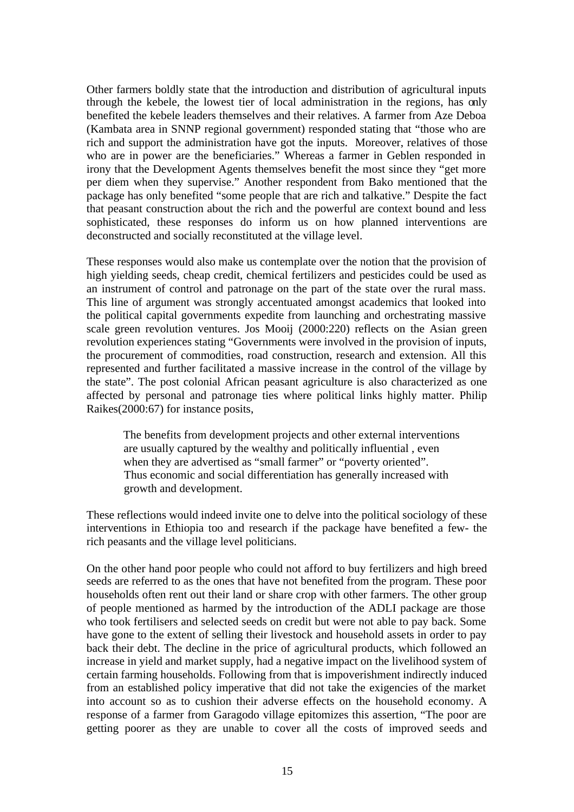Other farmers boldly state that the introduction and distribution of agricultural inputs through the kebele, the lowest tier of local administration in the regions, has only benefited the kebele leaders themselves and their relatives. A farmer from Aze Deboa (Kambata area in SNNP regional government) responded stating that "those who are rich and support the administration have got the inputs. Moreover, relatives of those who are in power are the beneficiaries." Whereas a farmer in Geblen responded in irony that the Development Agents themselves benefit the most since they "get more per diem when they supervise." Another respondent from Bako mentioned that the package has only benefited "some people that are rich and talkative." Despite the fact that peasant construction about the rich and the powerful are context bound and less sophisticated, these responses do inform us on how planned interventions are deconstructed and socially reconstituted at the village level.

These responses would also make us contemplate over the notion that the provision of high yielding seeds, cheap credit, chemical fertilizers and pesticides could be used as an instrument of control and patronage on the part of the state over the rural mass. This line of argument was strongly accentuated amongst academics that looked into the political capital governments expedite from launching and orchestrating massive scale green revolution ventures. Jos Mooij (2000:220) reflects on the Asian green revolution experiences stating "Governments were involved in the provision of inputs, the procurement of commodities, road construction, research and extension. All this represented and further facilitated a massive increase in the control of the village by the state". The post colonial African peasant agriculture is also characterized as one affected by personal and patronage ties where political links highly matter. Philip Raikes(2000:67) for instance posits,

 The benefits from development projects and other external interventions are usually captured by the wealthy and politically influential , even when they are advertised as "small farmer" or "poverty oriented". Thus economic and social differentiation has generally increased with growth and development.

These reflections would indeed invite one to delve into the political sociology of these interventions in Ethiopia too and research if the package have benefited a few- the rich peasants and the village level politicians.

On the other hand poor people who could not afford to buy fertilizers and high breed seeds are referred to as the ones that have not benefited from the program. These poor households often rent out their land or share crop with other farmers. The other group of people mentioned as harmed by the introduction of the ADLI package are those who took fertilisers and selected seeds on credit but were not able to pay back. Some have gone to the extent of selling their livestock and household assets in order to pay back their debt. The decline in the price of agricultural products, which followed an increase in yield and market supply, had a negative impact on the livelihood system of certain farming households. Following from that is impoverishment indirectly induced from an established policy imperative that did not take the exigencies of the market into account so as to cushion their adverse effects on the household economy. A response of a farmer from Garagodo village epitomizes this assertion, "The poor are getting poorer as they are unable to cover all the costs of improved seeds and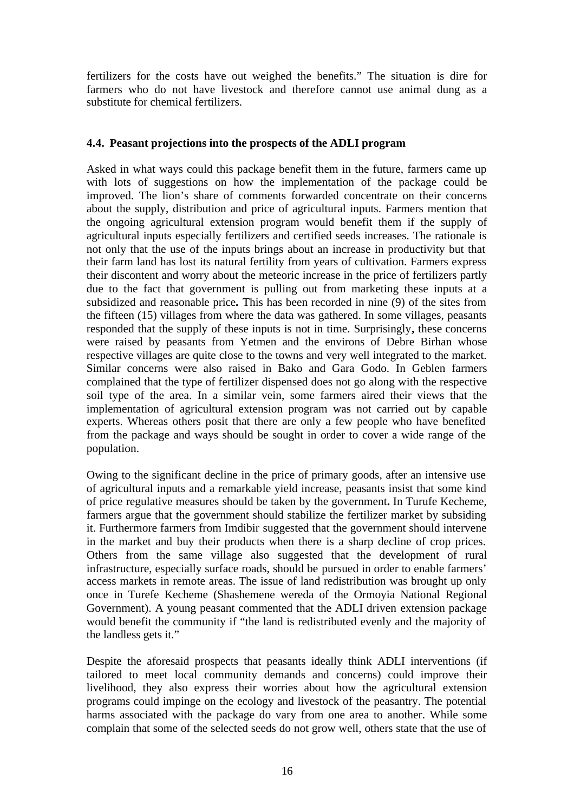fertilizers for the costs have out weighed the benefits." The situation is dire for farmers who do not have livestock and therefore cannot use animal dung as a substitute for chemical fertilizers.

# **4.4. Peasant projections into the prospects of the ADLI program**

Asked in what ways could this package benefit them in the future, farmers came up with lots of suggestions on how the implementation of the package could be improved. The lion's share of comments forwarded concentrate on their concerns about the supply, distribution and price of agricultural inputs. Farmers mention that the ongoing agricultural extension program would benefit them if the supply of agricultural inputs especially fertilizers and certified seeds increases. The rationale is not only that the use of the inputs brings about an increase in productivity but that their farm land has lost its natural fertility from years of cultivation. Farmers express their discontent and worry about the meteoric increase in the price of fertilizers partly due to the fact that government is pulling out from marketing these inputs at a subsidized and reasonable price**.** This has been recorded in nine (9) of the sites from the fifteen (15) villages from where the data was gathered. In some villages, peasants responded that the supply of these inputs is not in time. Surprisingly**,** these concerns were raised by peasants from Yetmen and the environs of Debre Birhan whose respective villages are quite close to the towns and very well integrated to the market. Similar concerns were also raised in Bako and Gara Godo. In Geblen farmers complained that the type of fertilizer dispensed does not go along with the respective soil type of the area. In a similar vein, some farmers aired their views that the implementation of agricultural extension program was not carried out by capable experts. Whereas others posit that there are only a few people who have benefited from the package and ways should be sought in order to cover a wide range of the population.

Owing to the significant decline in the price of primary goods, after an intensive use of agricultural inputs and a remarkable yield increase, peasants insist that some kind of price regulative measures should be taken by the government**.** In Turufe Kecheme, farmers argue that the government should stabilize the fertilizer market by subsiding it. Furthermore farmers from Imdibir suggested that the government should intervene in the market and buy their products when there is a sharp decline of crop prices. Others from the same village also suggested that the development of rural infrastructure, especially surface roads, should be pursued in order to enable farmers' access markets in remote areas. The issue of land redistribution was brought up only once in Turefe Kecheme (Shashemene wereda of the Ormoyia National Regional Government). A young peasant commented that the ADLI driven extension package would benefit the community if "the land is redistributed evenly and the majority of the landless gets it."

Despite the aforesaid prospects that peasants ideally think ADLI interventions (if tailored to meet local community demands and concerns) could improve their livelihood, they also express their worries about how the agricultural extension programs could impinge on the ecology and livestock of the peasantry. The potential harms associated with the package do vary from one area to another. While some complain that some of the selected seeds do not grow well, others state that the use of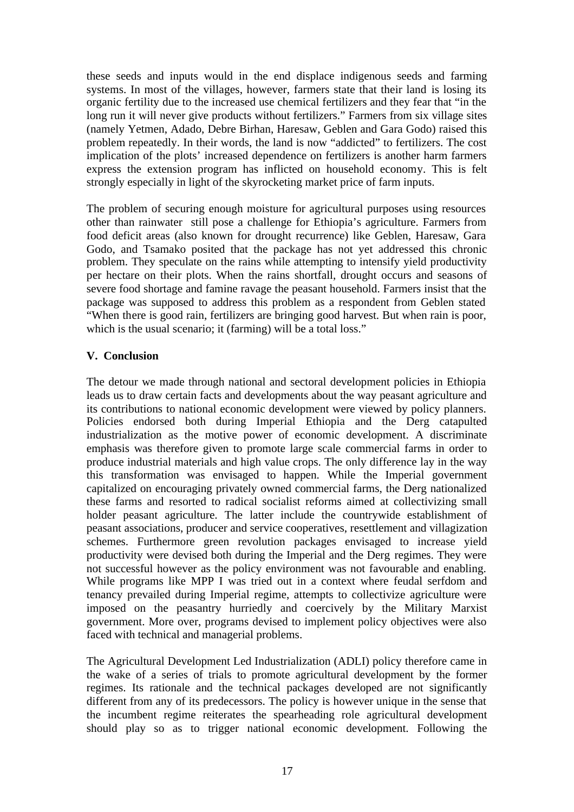these seeds and inputs would in the end displace indigenous seeds and farming systems. In most of the villages, however, farmers state that their land is losing its organic fertility due to the increased use chemical fertilizers and they fear that "in the long run it will never give products without fertilizers." Farmers from six village sites (namely Yetmen, Adado, Debre Birhan, Haresaw, Geblen and Gara Godo) raised this problem repeatedly. In their words, the land is now "addicted" to fertilizers. The cost implication of the plots' increased dependence on fertilizers is another harm farmers express the extension program has inflicted on household economy. This is felt strongly especially in light of the skyrocketing market price of farm inputs.

The problem of securing enough moisture for agricultural purposes using resources other than rainwater still pose a challenge for Ethiopia's agriculture. Farmers from food deficit areas (also known for drought recurrence) like Geblen, Haresaw, Gara Godo, and Tsamako posited that the package has not yet addressed this chronic problem. They speculate on the rains while attempting to intensify yield productivity per hectare on their plots. When the rains shortfall, drought occurs and seasons of severe food shortage and famine ravage the peasant household. Farmers insist that the package was supposed to address this problem as a respondent from Geblen stated "When there is good rain, fertilizers are bringing good harvest. But when rain is poor, which is the usual scenario; it (farming) will be a total loss."

# **V. Conclusion**

The detour we made through national and sectoral development policies in Ethiopia leads us to draw certain facts and developments about the way peasant agriculture and its contributions to national economic development were viewed by policy planners. Policies endorsed both during Imperial Ethiopia and the Derg catapulted industrialization as the motive power of economic development. A discriminate emphasis was therefore given to promote large scale commercial farms in order to produce industrial materials and high value crops. The only difference lay in the way this transformation was envisaged to happen. While the Imperial government capitalized on encouraging privately owned commercial farms, the Derg nationalized these farms and resorted to radical socialist reforms aimed at collectivizing small holder peasant agriculture. The latter include the countrywide establishment of peasant associations, producer and service cooperatives, resettlement and villagization schemes. Furthermore green revolution packages envisaged to increase yield productivity were devised both during the Imperial and the Derg regimes. They were not successful however as the policy environment was not favourable and enabling. While programs like MPP I was tried out in a context where feudal serfdom and tenancy prevailed during Imperial regime, attempts to collectivize agriculture were imposed on the peasantry hurriedly and coercively by the Military Marxist government. More over, programs devised to implement policy objectives were also faced with technical and managerial problems.

The Agricultural Development Led Industrialization (ADLI) policy therefore came in the wake of a series of trials to promote agricultural development by the former regimes. Its rationale and the technical packages developed are not significantly different from any of its predecessors. The policy is however unique in the sense that the incumbent regime reiterates the spearheading role agricultural development should play so as to trigger national economic development. Following the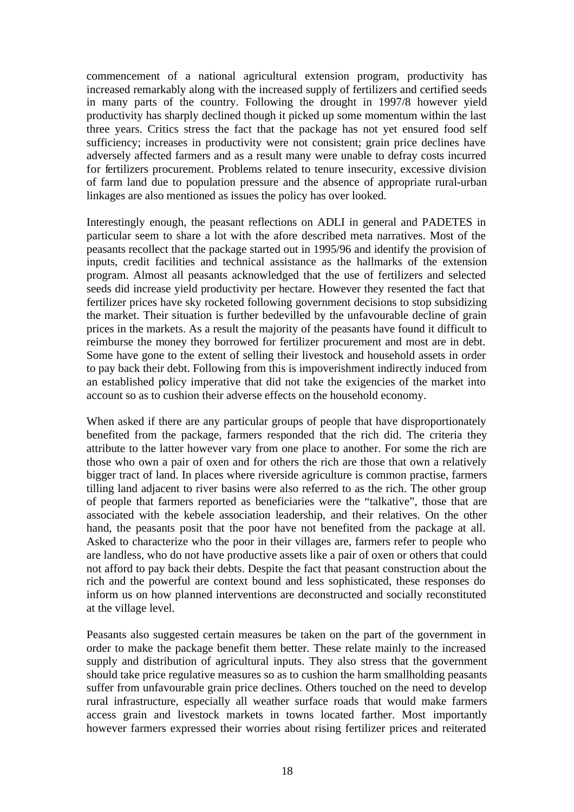commencement of a national agricultural extension program, productivity has increased remarkably along with the increased supply of fertilizers and certified seeds in many parts of the country. Following the drought in 1997/8 however yield productivity has sharply declined though it picked up some momentum within the last three years. Critics stress the fact that the package has not yet ensured food self sufficiency; increases in productivity were not consistent; grain price declines have adversely affected farmers and as a result many were unable to defray costs incurred for fertilizers procurement. Problems related to tenure insecurity, excessive division of farm land due to population pressure and the absence of appropriate rural-urban linkages are also mentioned as issues the policy has over looked.

Interestingly enough, the peasant reflections on ADLI in general and PADETES in particular seem to share a lot with the afore described meta narratives. Most of the peasants recollect that the package started out in 1995/96 and identify the provision of inputs, credit facilities and technical assistance as the hallmarks of the extension program. Almost all peasants acknowledged that the use of fertilizers and selected seeds did increase yield productivity per hectare. However they resented the fact that fertilizer prices have sky rocketed following government decisions to stop subsidizing the market. Their situation is further bedevilled by the unfavourable decline of grain prices in the markets. As a result the majority of the peasants have found it difficult to reimburse the money they borrowed for fertilizer procurement and most are in debt. Some have gone to the extent of selling their livestock and household assets in order to pay back their debt. Following from this is impoverishment indirectly induced from an established policy imperative that did not take the exigencies of the market into account so as to cushion their adverse effects on the household economy.

When asked if there are any particular groups of people that have disproportionately benefited from the package, farmers responded that the rich did. The criteria they attribute to the latter however vary from one place to another. For some the rich are those who own a pair of oxen and for others the rich are those that own a relatively bigger tract of land. In places where riverside agriculture is common practise, farmers tilling land adjacent to river basins were also referred to as the rich. The other group of people that farmers reported as beneficiaries were the "talkative", those that are associated with the kebele association leadership, and their relatives. On the other hand, the peasants posit that the poor have not benefited from the package at all. Asked to characterize who the poor in their villages are, farmers refer to people who are landless, who do not have productive assets like a pair of oxen or others that could not afford to pay back their debts. Despite the fact that peasant construction about the rich and the powerful are context bound and less sophisticated, these responses do inform us on how planned interventions are deconstructed and socially reconstituted at the village level.

Peasants also suggested certain measures be taken on the part of the government in order to make the package benefit them better. These relate mainly to the increased supply and distribution of agricultural inputs. They also stress that the government should take price regulative measures so as to cushion the harm smallholding peasants suffer from unfavourable grain price declines. Others touched on the need to develop rural infrastructure, especially all weather surface roads that would make farmers access grain and livestock markets in towns located farther. Most importantly however farmers expressed their worries about rising fertilizer prices and reiterated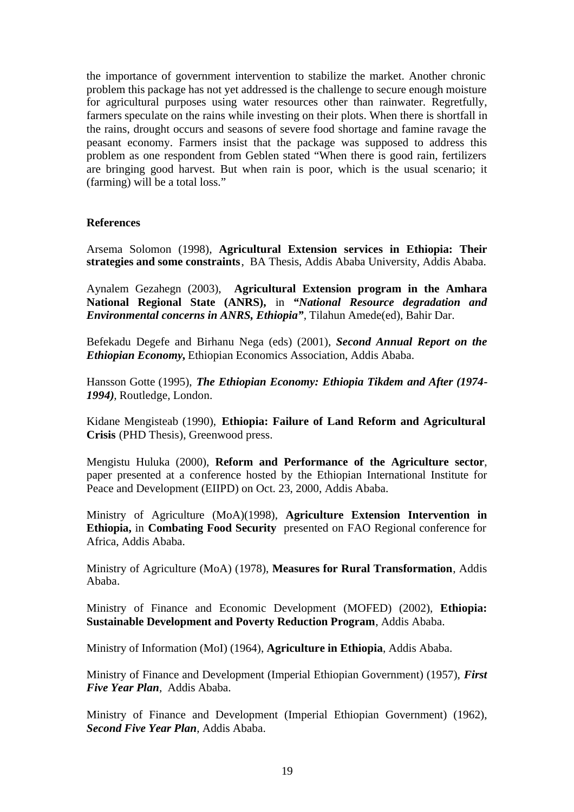the importance of government intervention to stabilize the market. Another chronic problem this package has not yet addressed is the challenge to secure enough moisture for agricultural purposes using water resources other than rainwater. Regretfully, farmers speculate on the rains while investing on their plots. When there is shortfall in the rains, drought occurs and seasons of severe food shortage and famine ravage the peasant economy. Farmers insist that the package was supposed to address this problem as one respondent from Geblen stated "When there is good rain, fertilizers are bringing good harvest. But when rain is poor, which is the usual scenario; it (farming) will be a total loss."

#### **References**

Arsema Solomon (1998), **Agricultural Extension services in Ethiopia: Their strategies and some constraints**, BA Thesis, Addis Ababa University, Addis Ababa.

Aynalem Gezahegn (2003), **Agricultural Extension program in the Amhara National Regional State (ANRS),** in *"National Resource degradation and Environmental concerns in ANRS, Ethiopia",* Tilahun Amede(ed), Bahir Dar.

Befekadu Degefe and Birhanu Nega (eds) (2001), *Second Annual Report on the Ethiopian Economy***,** Ethiopian Economics Association, Addis Ababa.

Hansson Gotte (1995), *The Ethiopian Economy: Ethiopia Tikdem and After (1974- 1994),* Routledge, London.

Kidane Mengisteab (1990), **Ethiopia: Failure of Land Reform and Agricultural Crisis** (PHD Thesis), Greenwood press.

Mengistu Huluka (2000), **Reform and Performance of the Agriculture sector**, paper presented at a conference hosted by the Ethiopian International Institute for Peace and Development (EIIPD) on Oct. 23, 2000, Addis Ababa.

Ministry of Agriculture (MoA)(1998), **Agriculture Extension Intervention in Ethiopia,** in **Combating Food Security** presented on FAO Regional conference for Africa, Addis Ababa.

Ministry of Agriculture (MoA) (1978), **Measures for Rural Transformation**, Addis Ababa.

Ministry of Finance and Economic Development (MOFED) (2002), **Ethiopia: Sustainable Development and Poverty Reduction Program**, Addis Ababa.

Ministry of Information (MoI) (1964), **Agriculture in Ethiopia**, Addis Ababa.

Ministry of Finance and Development (Imperial Ethiopian Government) (1957), *First Five Year Plan*, Addis Ababa.

Ministry of Finance and Development (Imperial Ethiopian Government) (1962), *Second Five Year Plan*, Addis Ababa.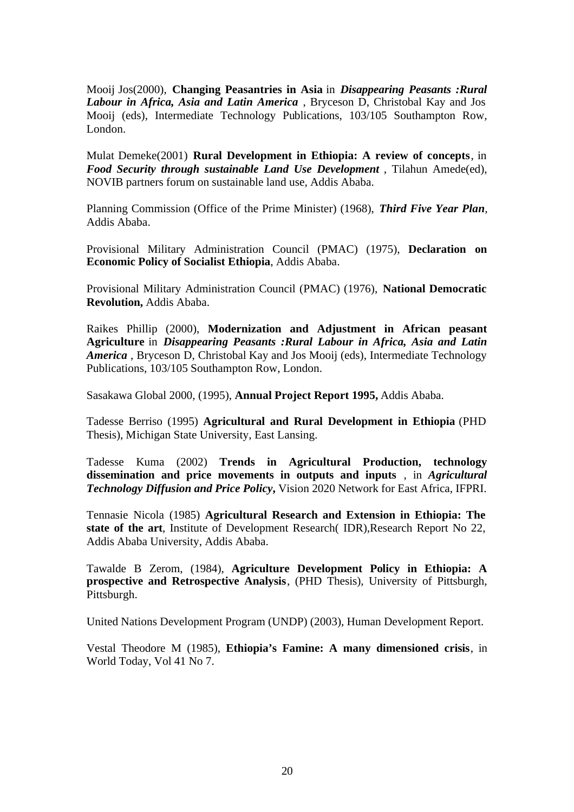Mooij Jos(2000), **Changing Peasantries in Asia** in *Disappearing Peasants :Rural Labour in Africa, Asia and Latin America* , Bryceson D, Christobal Kay and Jos Mooij (eds), Intermediate Technology Publications, 103/105 Southampton Row, London.

Mulat Demeke(2001) **Rural Development in Ethiopia: A review of concepts**, in *Food Security through sustainable Land Use Development* , Tilahun Amede(ed), NOVIB partners forum on sustainable land use, Addis Ababa.

Planning Commission (Office of the Prime Minister) (1968), *Third Five Year Plan*, Addis Ababa.

Provisional Military Administration Council (PMAC) (1975), **Declaration on Economic Policy of Socialist Ethiopia**, Addis Ababa.

Provisional Military Administration Council (PMAC) (1976), **National Democratic Revolution,** Addis Ababa.

Raikes Phillip (2000), **Modernization and Adjustment in African peasant Agriculture** in *Disappearing Peasants :Rural Labour in Africa, Asia and Latin America* , Bryceson D, Christobal Kay and Jos Mooij (eds), Intermediate Technology Publications, 103/105 Southampton Row, London.

Sasakawa Global 2000, (1995), **Annual Project Report 1995,** Addis Ababa.

Tadesse Berriso (1995) **Agricultural and Rural Development in Ethiopia** (PHD Thesis), Michigan State University, East Lansing.

Tadesse Kuma (2002) **Trends in Agricultural Production, technology dissemination and price movements in outputs and inputs** , in *Agricultural Technology Diffusion and Price Policy***,** Vision 2020 Network for East Africa, IFPRI.

Tennasie Nicola (1985) **Agricultural Research and Extension in Ethiopia: The state of the art**, Institute of Development Research( IDR),Research Report No 22, Addis Ababa University, Addis Ababa.

Tawalde B Zerom, (1984), **Agriculture Development Policy in Ethiopia: A prospective and Retrospective Analysis**, (PHD Thesis), University of Pittsburgh, Pittsburgh.

United Nations Development Program (UNDP) (2003), Human Development Report.

Vestal Theodore M (1985), **Ethiopia's Famine: A many dimensioned crisis**, in World Today, Vol 41 No 7.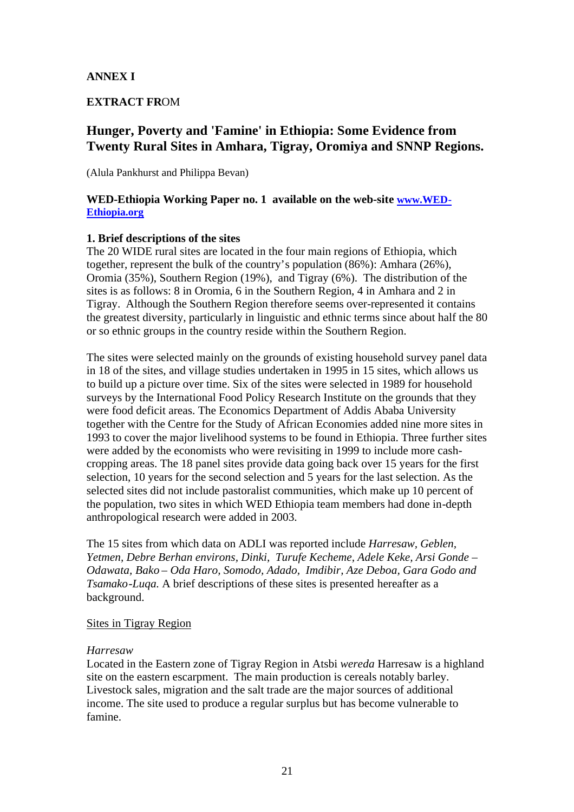# **ANNEX I**

# **EXTRACT FR**OM

# **Hunger, Poverty and 'Famine' in Ethiopia: Some Evidence from Twenty Rural Sites in Amhara, Tigray, Oromiya and SNNP Regions.**

(Alula Pankhurst and Philippa Bevan)

### **WED-Ethiopia Working Paper no. 1 available on the web-site www.WED-Ethiopia.org**

### **1. Brief descriptions of the sites**

The 20 WIDE rural sites are located in the four main regions of Ethiopia, which together, represent the bulk of the country's population (86%): Amhara (26%), Oromia (35%), Southern Region (19%), and Tigray (6%). The distribution of the sites is as follows: 8 in Oromia, 6 in the Southern Region, 4 in Amhara and 2 in Tigray. Although the Southern Region therefore seems over-represented it contains the greatest diversity, particularly in linguistic and ethnic terms since about half the 80 or so ethnic groups in the country reside within the Southern Region.

The sites were selected mainly on the grounds of existing household survey panel data in 18 of the sites, and village studies undertaken in 1995 in 15 sites, which allows us to build up a picture over time. Six of the sites were selected in 1989 for household surveys by the International Food Policy Research Institute on the grounds that they were food deficit areas. The Economics Department of Addis Ababa University together with the Centre for the Study of African Economies added nine more sites in 1993 to cover the major livelihood systems to be found in Ethiopia. Three further sites were added by the economists who were revisiting in 1999 to include more cashcropping areas. The 18 panel sites provide data going back over 15 years for the first selection, 10 years for the second selection and 5 years for the last selection. As the selected sites did not include pastoralist communities, which make up 10 percent of the population, two sites in which WED Ethiopia team members had done in-depth anthropological research were added in 2003.

The 15 sites from which data on ADLI was reported include *Harresaw, Geblen, Yetmen, Debre Berhan environs, Dinki, Turufe Kecheme, Adele Keke, Arsi Gonde – Odawata, Bako – Oda Haro, Somodo, Adado, Imdibir, Aze Deboa, Gara Godo and Tsamako-Luqa.* A brief descriptions of these sites is presented hereafter as a background.

### Sites in Tigray Region

#### *Harresaw*

Located in the Eastern zone of Tigray Region in Atsbi *wereda* Harresaw is a highland site on the eastern escarpment. The main production is cereals notably barley. Livestock sales, migration and the salt trade are the major sources of additional income. The site used to produce a regular surplus but has become vulnerable to famine.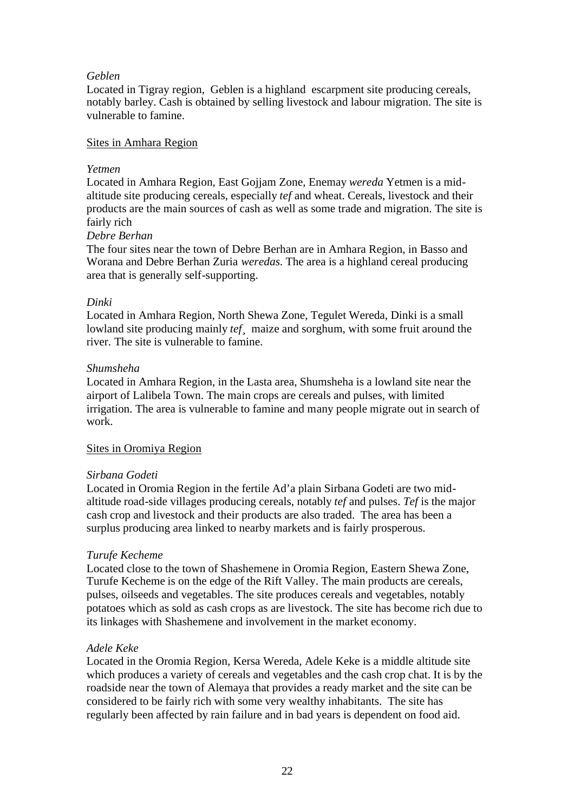### *Geblen*

Located in Tigray region, Geblen is a highland escarpment site producing cereals, notably barley. Cash is obtained by selling livestock and labour migration. The site is vulnerable to famine.

### Sites in Amhara Region

### *Yetmen*

Located in Amhara Region, East Gojjam Zone, Enemay *wereda* Yetmen is a midaltitude site producing cereals, especially *tef* and wheat. Cereals, livestock and their products are the main sources of cash as well as some trade and migration. The site is fairly rich

### *Debre Berhan*

The four sites near the town of Debre Berhan are in Amhara Region, in Basso and Worana and Debre Berhan Zuria *weredas.* The area is a highland cereal producing area that is generally self-supporting.

### *Dinki*

Located in Amhara Region, North Shewa Zone, Tegulet Wereda, Dinki is a small lowland site producing mainly *tef<sub>i</sub>* maize and sorghum, with some fruit around the river. The site is vulnerable to famine.

### *Shumsheha*

Located in Amhara Region, in the Lasta area, Shumsheha is a lowland site near the airport of Lalibela Town. The main crops are cereals and pulses, with limited irrigation. The area is vulnerable to famine and many people migrate out in search of work.

### Sites in Oromiya Region

# *Sirbana Godeti*

Located in Oromia Region in the fertile Ad'a plain Sirbana Godeti are two midaltitude road-side villages producing cereals, notably *tef* and pulses. *Tef* is the major cash crop and livestock and their products are also traded. The area has been a surplus producing area linked to nearby markets and is fairly prosperous.

# *Turufe Kecheme*

Located close to the town of Shashemene in Oromia Region, Eastern Shewa Zone, Turufe Kecheme is on the edge of the Rift Valley. The main products are cereals, pulses, oilseeds and vegetables. The site produces cereals and vegetables, notably potatoes which as sold as cash crops as are livestock. The site has become rich due to its linkages with Shashemene and involvement in the market economy.

### *Adele Keke*

Located in the Oromia Region, Kersa Wereda, Adele Keke is a middle altitude site which produces a variety of cereals and vegetables and the cash crop chat. It is by the roadside near the town of Alemaya that provides a ready market and the site can be considered to be fairly rich with some very wealthy inhabitants. The site has regularly been affected by rain failure and in bad years is dependent on food aid.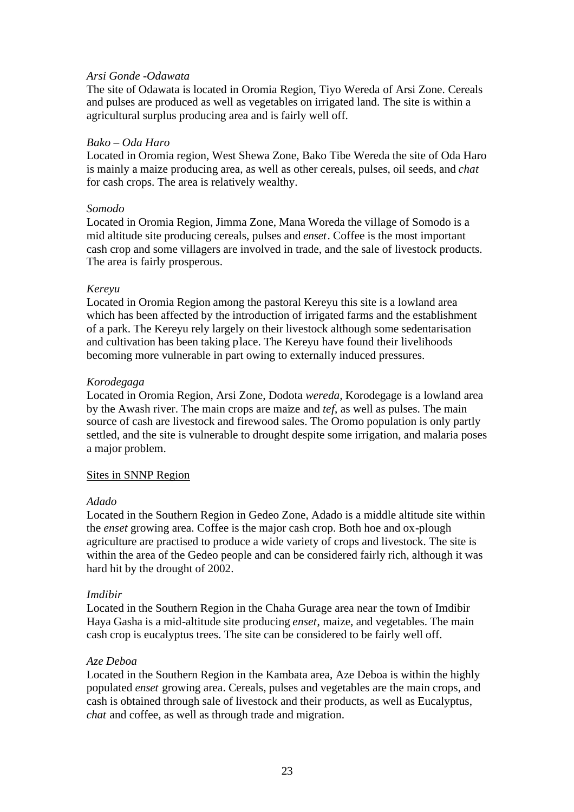### *Arsi Gonde -Odawata*

The site of Odawata is located in Oromia Region, Tiyo Wereda of Arsi Zone. Cereals and pulses are produced as well as vegetables on irrigated land. The site is within a agricultural surplus producing area and is fairly well off.

#### *Bako – Oda Haro*

Located in Oromia region, West Shewa Zone, Bako Tibe Wereda the site of Oda Haro is mainly a maize producing area, as well as other cereals, pulses, oil seeds, and *chat* for cash crops. The area is relatively wealthy.

#### *Somodo*

Located in Oromia Region, Jimma Zone, Mana Woreda the village of Somodo is a mid altitude site producing cereals, pulses and *enset*. Coffee is the most important cash crop and some villagers are involved in trade, and the sale of livestock products. The area is fairly prosperous.

#### *Kereyu*

Located in Oromia Region among the pastoral Kereyu this site is a lowland area which has been affected by the introduction of irrigated farms and the establishment of a park. The Kereyu rely largely on their livestock although some sedentarisation and cultivation has been taking place. The Kereyu have found their livelihoods becoming more vulnerable in part owing to externally induced pressures.

#### *Korodegaga*

Located in Oromia Region, Arsi Zone, Dodota *wereda,* Korodegage is a lowland area by the Awash river. The main crops are maize and *tef*, as well as pulses. The main source of cash are livestock and firewood sales. The Oromo population is only partly settled, and the site is vulnerable to drought despite some irrigation, and malaria poses a major problem.

### Sites in SNNP Region

### *Adado*

Located in the Southern Region in Gedeo Zone, Adado is a middle altitude site within the *enset* growing area. Coffee is the major cash crop. Both hoe and ox-plough agriculture are practised to produce a wide variety of crops and livestock. The site is within the area of the Gedeo people and can be considered fairly rich, although it was hard hit by the drought of 2002.

### *Imdibir*

Located in the Southern Region in the Chaha Gurage area near the town of Imdibir Haya Gasha is a mid-altitude site producing *enset*, maize, and vegetables. The main cash crop is eucalyptus trees. The site can be considered to be fairly well off.

### *Aze Deboa*

Located in the Southern Region in the Kambata area, Aze Deboa is within the highly populated *enset* growing area. Cereals, pulses and vegetables are the main crops, and cash is obtained through sale of livestock and their products, as well as Eucalyptus, *chat* and coffee, as well as through trade and migration.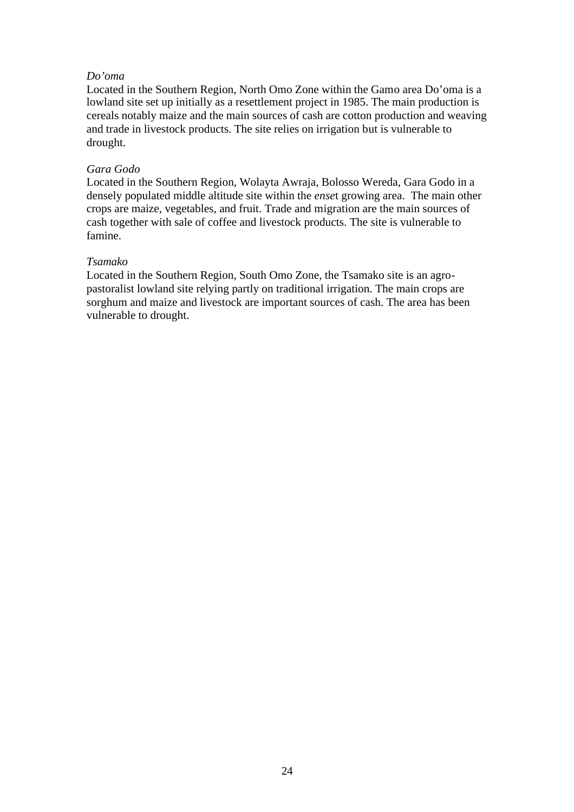### *Do'oma*

Located in the Southern Region, North Omo Zone within the Gamo area Do'oma is a lowland site set up initially as a resettlement project in 1985. The main production is cereals notably maize and the main sources of cash are cotton production and weaving and trade in livestock products. The site relies on irrigation but is vulnerable to drought.

### *Gara Godo*

Located in the Southern Region, Wolayta Awraja, Bolosso Wereda, Gara Godo in a densely populated middle altitude site within the *ense*t growing area. The main other crops are maize, vegetables, and fruit. Trade and migration are the main sources of cash together with sale of coffee and livestock products. The site is vulnerable to famine.

### *Tsamako*

Located in the Southern Region, South Omo Zone, the Tsamako site is an agropastoralist lowland site relying partly on traditional irrigation. The main crops are sorghum and maize and livestock are important sources of cash. The area has been vulnerable to drought.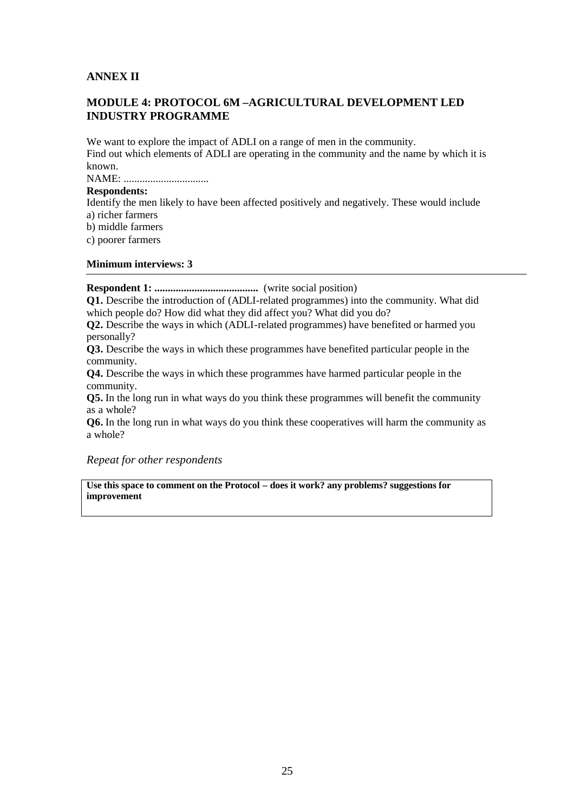# **ANNEX II**

# **MODULE 4: PROTOCOL 6M –AGRICULTURAL DEVELOPMENT LED INDUSTRY PROGRAMME**

We want to explore the impact of ADLI on a range of men in the community. Find out which elements of ADLI are operating in the community and the name by which it is known.

NAME: ................................

### **Respondents:**

Identify the men likely to have been affected positively and negatively. These would include a) richer farmers

b) middle farmers

c) poorer farmers

#### **Minimum interviews: 3**

**Respondent 1: .......................................** (write social position)

**Q1.** Describe the introduction of (ADLI-related programmes) into the community. What did which people do? How did what they did affect you? What did you do?

**Q2.** Describe the ways in which (ADLI-related programmes) have benefited or harmed you personally?

**Q3.** Describe the ways in which these programmes have benefited particular people in the community.

**Q4.** Describe the ways in which these programmes have harmed particular people in the community.

**Q5.** In the long run in what ways do you think these programmes will benefit the community as a whole?

**Q6.** In the long run in what ways do you think these cooperatives will harm the community as a whole?

#### *Repeat for other respondents*

**Use this space to comment on the Protocol – does it work? any problems? suggestions for improvement**